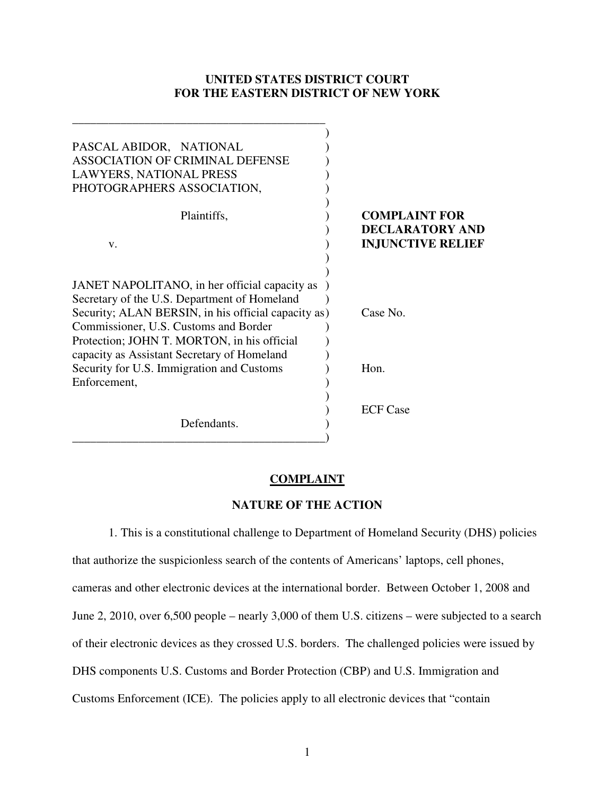# **UNITED STATES DISTRICT COURT FOR THE EASTERN DISTRICT OF NEW YORK**

| PASCAL ABIDOR, NATIONAL<br><b>ASSOCIATION OF CRIMINAL DEFENSE</b><br>LAWYERS, NATIONAL PRESS<br>PHOTOGRAPHERS ASSOCIATION,                                                                                                                                                                  |                                                                            |
|---------------------------------------------------------------------------------------------------------------------------------------------------------------------------------------------------------------------------------------------------------------------------------------------|----------------------------------------------------------------------------|
| Plaintiffs,<br>V.                                                                                                                                                                                                                                                                           | <b>COMPLAINT FOR</b><br><b>DECLARATORY AND</b><br><b>INJUNCTIVE RELIEF</b> |
| JANET NAPOLITANO, in her official capacity as<br>Secretary of the U.S. Department of Homeland<br>Security; ALAN BERSIN, in his official capacity as)<br>Commissioner, U.S. Customs and Border<br>Protection; JOHN T. MORTON, in his official<br>capacity as Assistant Secretary of Homeland | Case No.                                                                   |
| Security for U.S. Immigration and Customs                                                                                                                                                                                                                                                   | Hon.                                                                       |
| Enforcement,<br>Defendants.                                                                                                                                                                                                                                                                 | <b>ECF</b> Case                                                            |

\_\_\_\_\_\_\_\_\_\_\_\_\_\_\_\_\_\_\_\_\_\_\_\_\_\_\_\_\_\_\_\_\_\_\_\_\_\_\_\_\_\_

## **COMPLAINT**

# **NATURE OF THE ACTION**

1. This is a constitutional challenge to Department of Homeland Security (DHS) policies that authorize the suspicionless search of the contents of Americans' laptops, cell phones, cameras and other electronic devices at the international border. Between October 1, 2008 and June 2, 2010, over 6,500 people – nearly 3,000 of them U.S. citizens – were subjected to a search of their electronic devices as they crossed U.S. borders. The challenged policies were issued by DHS components U.S. Customs and Border Protection (CBP) and U.S. Immigration and Customs Enforcement (ICE). The policies apply to all electronic devices that "contain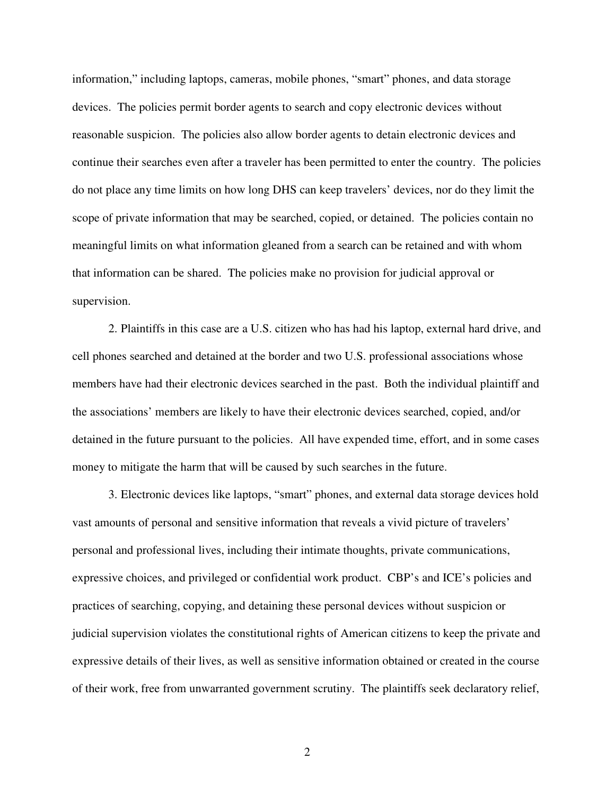information," including laptops, cameras, mobile phones, "smart" phones, and data storage devices. The policies permit border agents to search and copy electronic devices without reasonable suspicion. The policies also allow border agents to detain electronic devices and continue their searches even after a traveler has been permitted to enter the country. The policies do not place any time limits on how long DHS can keep travelers' devices, nor do they limit the scope of private information that may be searched, copied, or detained. The policies contain no meaningful limits on what information gleaned from a search can be retained and with whom that information can be shared. The policies make no provision for judicial approval or supervision.

2. Plaintiffs in this case are a U.S. citizen who has had his laptop, external hard drive, and cell phones searched and detained at the border and two U.S. professional associations whose members have had their electronic devices searched in the past. Both the individual plaintiff and the associations' members are likely to have their electronic devices searched, copied, and/or detained in the future pursuant to the policies. All have expended time, effort, and in some cases money to mitigate the harm that will be caused by such searches in the future.

3. Electronic devices like laptops, "smart" phones, and external data storage devices hold vast amounts of personal and sensitive information that reveals a vivid picture of travelers' personal and professional lives, including their intimate thoughts, private communications, expressive choices, and privileged or confidential work product. CBP's and ICE's policies and practices of searching, copying, and detaining these personal devices without suspicion or judicial supervision violates the constitutional rights of American citizens to keep the private and expressive details of their lives, as well as sensitive information obtained or created in the course of their work, free from unwarranted government scrutiny. The plaintiffs seek declaratory relief,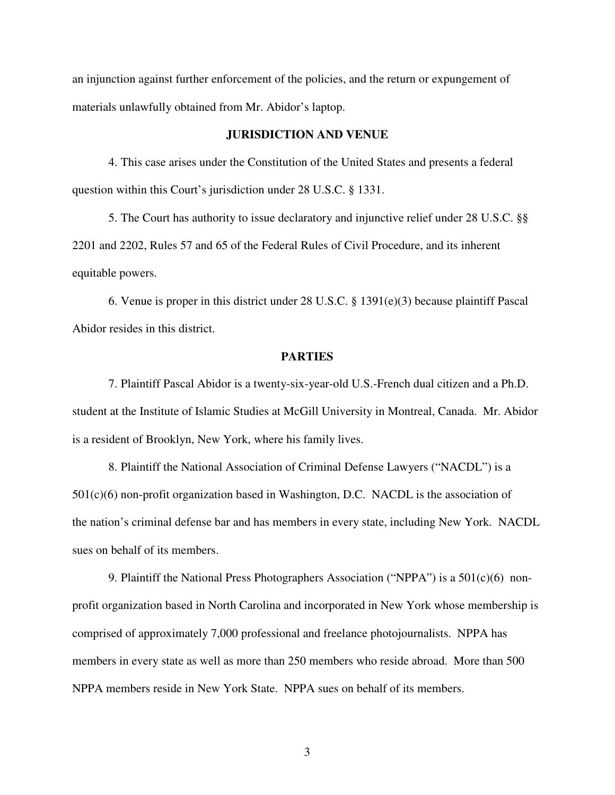an injunction against further enforcement of the policies, and the return or expungement of materials unlawfully obtained from Mr. Abidor's laptop.

### **JURISDICTION AND VENUE**

4. This case arises under the Constitution of the United States and presents a federal question within this Court's jurisdiction under 28 U.S.C. § 1331.

5. The Court has authority to issue declaratory and injunctive relief under 28 U.S.C. §§ 2201 and 2202, Rules 57 and 65 of the Federal Rules of Civil Procedure, and its inherent equitable powers.

6. Venue is proper in this district under 28 U.S.C. § 1391(e)(3) because plaintiff Pascal Abidor resides in this district.

## **PARTIES**

7. Plaintiff Pascal Abidor is a twenty-six-year-old U.S.-French dual citizen and a Ph.D. student at the Institute of Islamic Studies at McGill University in Montreal, Canada. Mr. Abidor is a resident of Brooklyn, New York, where his family lives.

8. Plaintiff the National Association of Criminal Defense Lawyers ("NACDL") is a 501(c)(6) non-profit organization based in Washington, D.C. NACDL is the association of the nation's criminal defense bar and has members in every state, including New York. NACDL sues on behalf of its members.

9. Plaintiff the National Press Photographers Association ("NPPA") is a 501(c)(6) nonprofit organization based in North Carolina and incorporated in New York whose membership is comprised of approximately 7,000 professional and freelance photojournalists. NPPA has members in every state as well as more than 250 members who reside abroad. More than 500 NPPA members reside in New York State. NPPA sues on behalf of its members.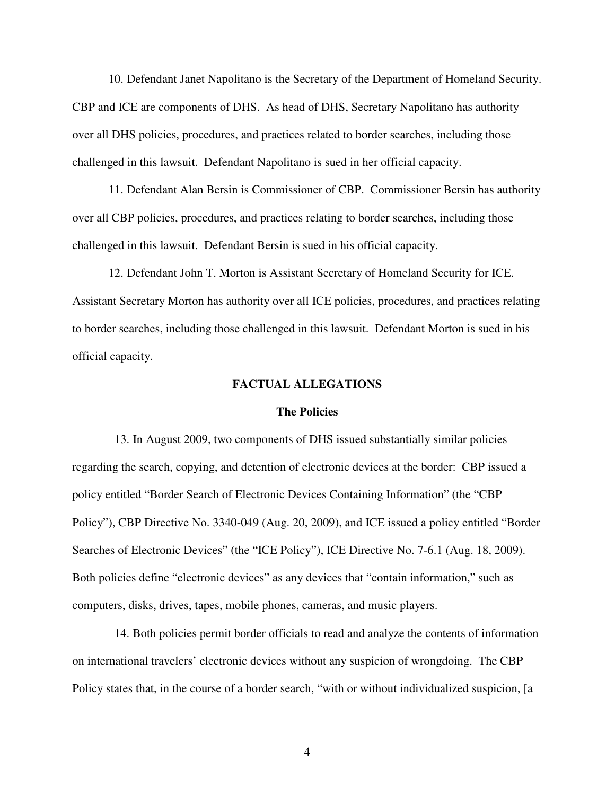10. Defendant Janet Napolitano is the Secretary of the Department of Homeland Security. CBP and ICE are components of DHS. As head of DHS, Secretary Napolitano has authority over all DHS policies, procedures, and practices related to border searches, including those challenged in this lawsuit. Defendant Napolitano is sued in her official capacity.

11. Defendant Alan Bersin is Commissioner of CBP. Commissioner Bersin has authority over all CBP policies, procedures, and practices relating to border searches, including those challenged in this lawsuit. Defendant Bersin is sued in his official capacity.

12. Defendant John T. Morton is Assistant Secretary of Homeland Security for ICE. Assistant Secretary Morton has authority over all ICE policies, procedures, and practices relating to border searches, including those challenged in this lawsuit. Defendant Morton is sued in his official capacity.

## **FACTUAL ALLEGATIONS**

### **The Policies**

13. In August 2009, two components of DHS issued substantially similar policies regarding the search, copying, and detention of electronic devices at the border: CBP issued a policy entitled "Border Search of Electronic Devices Containing Information" (the "CBP Policy"), CBP Directive No. 3340-049 (Aug. 20, 2009), and ICE issued a policy entitled "Border Searches of Electronic Devices" (the "ICE Policy"), ICE Directive No. 7-6.1 (Aug. 18, 2009). Both policies define "electronic devices" as any devices that "contain information," such as computers, disks, drives, tapes, mobile phones, cameras, and music players.

14. Both policies permit border officials to read and analyze the contents of information on international travelers' electronic devices without any suspicion of wrongdoing. The CBP Policy states that, in the course of a border search, "with or without individualized suspicion, [a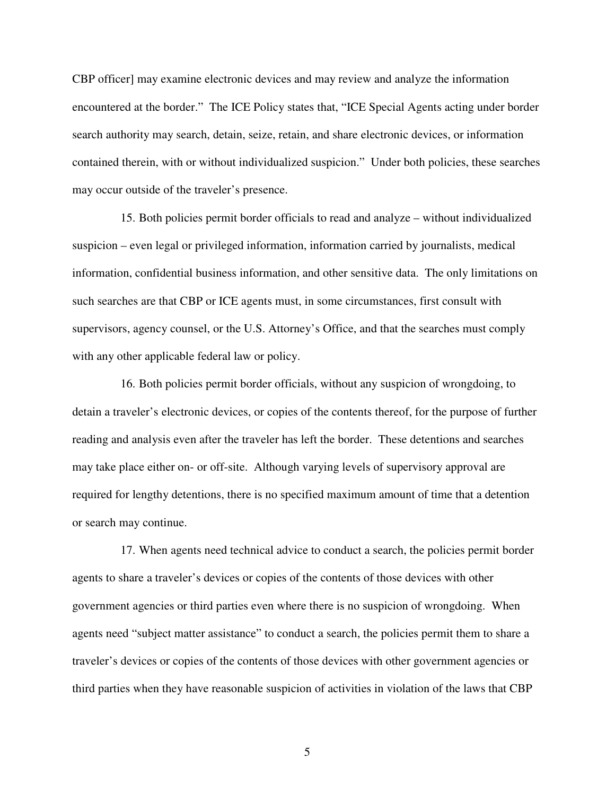CBP officer] may examine electronic devices and may review and analyze the information encountered at the border." The ICE Policy states that, "ICE Special Agents acting under border search authority may search, detain, seize, retain, and share electronic devices, or information contained therein, with or without individualized suspicion." Under both policies, these searches may occur outside of the traveler's presence.

15. Both policies permit border officials to read and analyze – without individualized suspicion – even legal or privileged information, information carried by journalists, medical information, confidential business information, and other sensitive data. The only limitations on such searches are that CBP or ICE agents must, in some circumstances, first consult with supervisors, agency counsel, or the U.S. Attorney's Office, and that the searches must comply with any other applicable federal law or policy.

16. Both policies permit border officials, without any suspicion of wrongdoing, to detain a traveler's electronic devices, or copies of the contents thereof, for the purpose of further reading and analysis even after the traveler has left the border. These detentions and searches may take place either on- or off-site. Although varying levels of supervisory approval are required for lengthy detentions, there is no specified maximum amount of time that a detention or search may continue.

17. When agents need technical advice to conduct a search, the policies permit border agents to share a traveler's devices or copies of the contents of those devices with other government agencies or third parties even where there is no suspicion of wrongdoing. When agents need "subject matter assistance" to conduct a search, the policies permit them to share a traveler's devices or copies of the contents of those devices with other government agencies or third parties when they have reasonable suspicion of activities in violation of the laws that CBP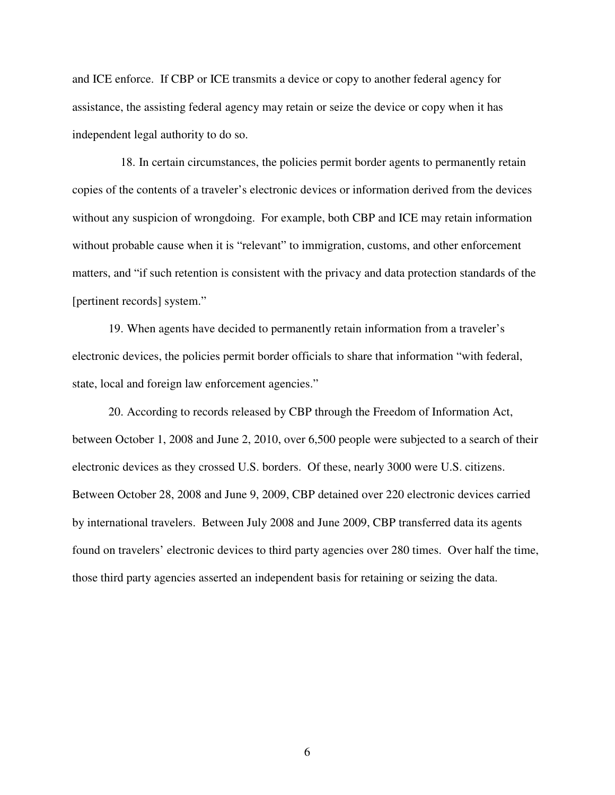and ICE enforce. If CBP or ICE transmits a device or copy to another federal agency for assistance, the assisting federal agency may retain or seize the device or copy when it has independent legal authority to do so.

18. In certain circumstances, the policies permit border agents to permanently retain copies of the contents of a traveler's electronic devices or information derived from the devices without any suspicion of wrongdoing. For example, both CBP and ICE may retain information without probable cause when it is "relevant" to immigration, customs, and other enforcement matters, and "if such retention is consistent with the privacy and data protection standards of the [pertinent records] system."

19. When agents have decided to permanently retain information from a traveler's electronic devices, the policies permit border officials to share that information "with federal, state, local and foreign law enforcement agencies."

20. According to records released by CBP through the Freedom of Information Act, between October 1, 2008 and June 2, 2010, over 6,500 people were subjected to a search of their electronic devices as they crossed U.S. borders. Of these, nearly 3000 were U.S. citizens. Between October 28, 2008 and June 9, 2009, CBP detained over 220 electronic devices carried by international travelers. Between July 2008 and June 2009, CBP transferred data its agents found on travelers' electronic devices to third party agencies over 280 times. Over half the time, those third party agencies asserted an independent basis for retaining or seizing the data.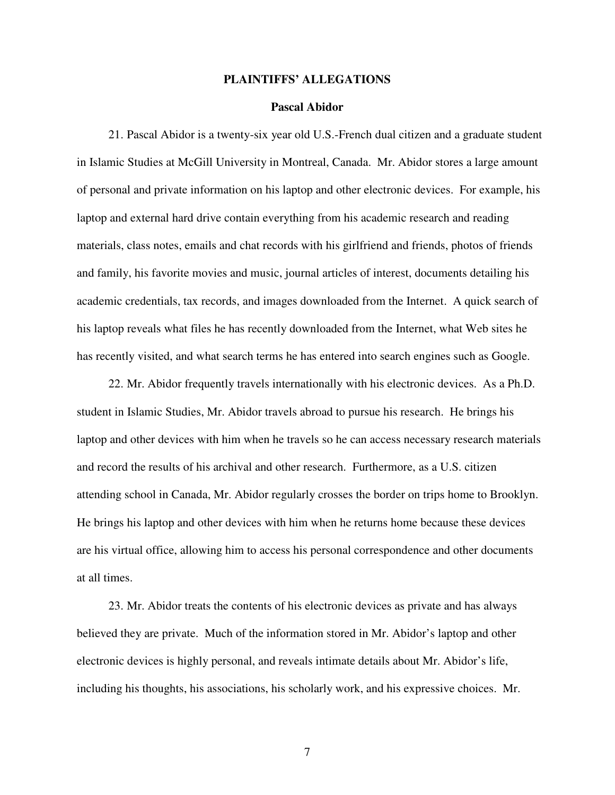### **PLAINTIFFS' ALLEGATIONS**

### **Pascal Abidor**

21. Pascal Abidor is a twenty-six year old U.S.-French dual citizen and a graduate student in Islamic Studies at McGill University in Montreal, Canada. Mr. Abidor stores a large amount of personal and private information on his laptop and other electronic devices. For example, his laptop and external hard drive contain everything from his academic research and reading materials, class notes, emails and chat records with his girlfriend and friends, photos of friends and family, his favorite movies and music, journal articles of interest, documents detailing his academic credentials, tax records, and images downloaded from the Internet. A quick search of his laptop reveals what files he has recently downloaded from the Internet, what Web sites he has recently visited, and what search terms he has entered into search engines such as Google.

22. Mr. Abidor frequently travels internationally with his electronic devices. As a Ph.D. student in Islamic Studies, Mr. Abidor travels abroad to pursue his research. He brings his laptop and other devices with him when he travels so he can access necessary research materials and record the results of his archival and other research. Furthermore, as a U.S. citizen attending school in Canada, Mr. Abidor regularly crosses the border on trips home to Brooklyn. He brings his laptop and other devices with him when he returns home because these devices are his virtual office, allowing him to access his personal correspondence and other documents at all times.

23. Mr. Abidor treats the contents of his electronic devices as private and has always believed they are private. Much of the information stored in Mr. Abidor's laptop and other electronic devices is highly personal, and reveals intimate details about Mr. Abidor's life, including his thoughts, his associations, his scholarly work, and his expressive choices. Mr.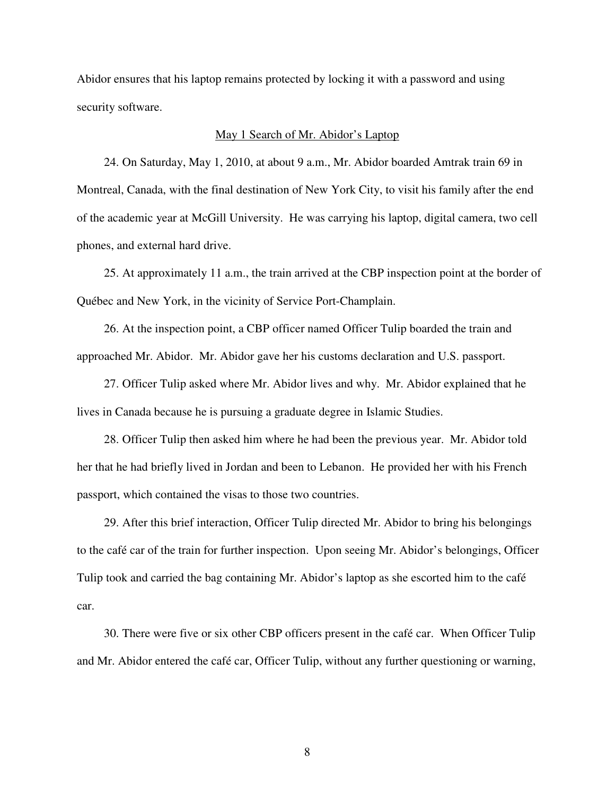Abidor ensures that his laptop remains protected by locking it with a password and using security software.

#### May 1 Search of Mr. Abidor's Laptop

24. On Saturday, May 1, 2010, at about 9 a.m., Mr. Abidor boarded Amtrak train 69 in Montreal, Canada, with the final destination of New York City, to visit his family after the end of the academic year at McGill University. He was carrying his laptop, digital camera, two cell phones, and external hard drive.

25. At approximately 11 a.m., the train arrived at the CBP inspection point at the border of Québec and New York, in the vicinity of Service Port-Champlain.

26. At the inspection point, a CBP officer named Officer Tulip boarded the train and approached Mr. Abidor. Mr. Abidor gave her his customs declaration and U.S. passport.

27. Officer Tulip asked where Mr. Abidor lives and why. Mr. Abidor explained that he lives in Canada because he is pursuing a graduate degree in Islamic Studies.

28. Officer Tulip then asked him where he had been the previous year. Mr. Abidor told her that he had briefly lived in Jordan and been to Lebanon. He provided her with his French passport, which contained the visas to those two countries.

29. After this brief interaction, Officer Tulip directed Mr. Abidor to bring his belongings to the café car of the train for further inspection. Upon seeing Mr. Abidor's belongings, Officer Tulip took and carried the bag containing Mr. Abidor's laptop as she escorted him to the café car.

30. There were five or six other CBP officers present in the café car. When Officer Tulip and Mr. Abidor entered the café car, Officer Tulip, without any further questioning or warning,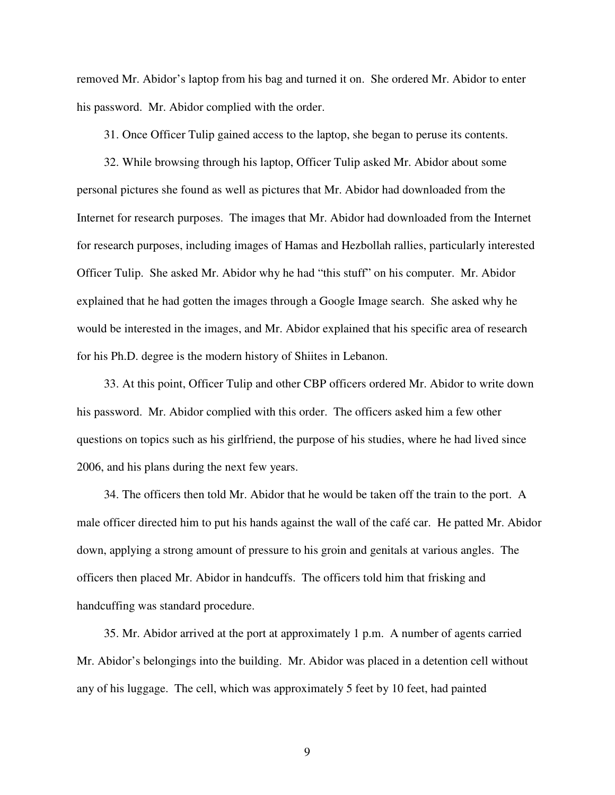removed Mr. Abidor's laptop from his bag and turned it on. She ordered Mr. Abidor to enter his password. Mr. Abidor complied with the order.

31. Once Officer Tulip gained access to the laptop, she began to peruse its contents.

32. While browsing through his laptop, Officer Tulip asked Mr. Abidor about some personal pictures she found as well as pictures that Mr. Abidor had downloaded from the Internet for research purposes. The images that Mr. Abidor had downloaded from the Internet for research purposes, including images of Hamas and Hezbollah rallies, particularly interested Officer Tulip. She asked Mr. Abidor why he had "this stuff" on his computer. Mr. Abidor explained that he had gotten the images through a Google Image search. She asked why he would be interested in the images, and Mr. Abidor explained that his specific area of research for his Ph.D. degree is the modern history of Shiites in Lebanon.

33. At this point, Officer Tulip and other CBP officers ordered Mr. Abidor to write down his password. Mr. Abidor complied with this order. The officers asked him a few other questions on topics such as his girlfriend, the purpose of his studies, where he had lived since 2006, and his plans during the next few years.

34. The officers then told Mr. Abidor that he would be taken off the train to the port. A male officer directed him to put his hands against the wall of the café car. He patted Mr. Abidor down, applying a strong amount of pressure to his groin and genitals at various angles. The officers then placed Mr. Abidor in handcuffs. The officers told him that frisking and handcuffing was standard procedure.

35. Mr. Abidor arrived at the port at approximately 1 p.m. A number of agents carried Mr. Abidor's belongings into the building. Mr. Abidor was placed in a detention cell without any of his luggage. The cell, which was approximately 5 feet by 10 feet, had painted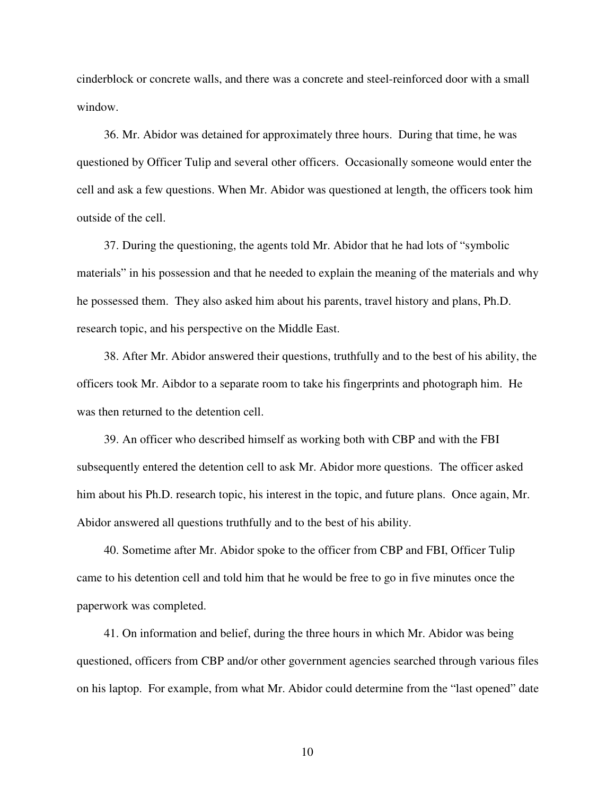cinderblock or concrete walls, and there was a concrete and steel-reinforced door with a small window.

36. Mr. Abidor was detained for approximately three hours. During that time, he was questioned by Officer Tulip and several other officers. Occasionally someone would enter the cell and ask a few questions. When Mr. Abidor was questioned at length, the officers took him outside of the cell.

37. During the questioning, the agents told Mr. Abidor that he had lots of "symbolic materials" in his possession and that he needed to explain the meaning of the materials and why he possessed them. They also asked him about his parents, travel history and plans, Ph.D. research topic, and his perspective on the Middle East.

38. After Mr. Abidor answered their questions, truthfully and to the best of his ability, the officers took Mr. Aibdor to a separate room to take his fingerprints and photograph him. He was then returned to the detention cell.

39. An officer who described himself as working both with CBP and with the FBI subsequently entered the detention cell to ask Mr. Abidor more questions. The officer asked him about his Ph.D. research topic, his interest in the topic, and future plans. Once again, Mr. Abidor answered all questions truthfully and to the best of his ability.

40. Sometime after Mr. Abidor spoke to the officer from CBP and FBI, Officer Tulip came to his detention cell and told him that he would be free to go in five minutes once the paperwork was completed.

41. On information and belief, during the three hours in which Mr. Abidor was being questioned, officers from CBP and/or other government agencies searched through various files on his laptop. For example, from what Mr. Abidor could determine from the "last opened" date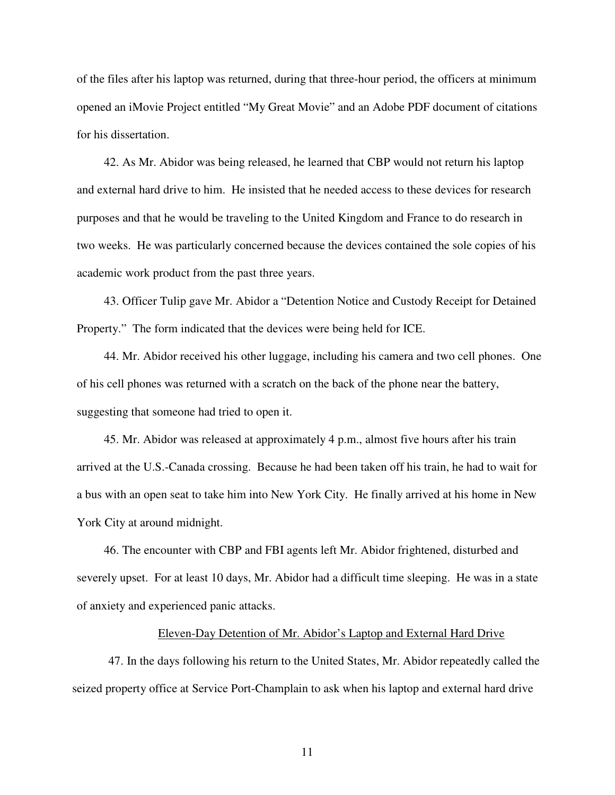of the files after his laptop was returned, during that three-hour period, the officers at minimum opened an iMovie Project entitled "My Great Movie" and an Adobe PDF document of citations for his dissertation.

42. As Mr. Abidor was being released, he learned that CBP would not return his laptop and external hard drive to him. He insisted that he needed access to these devices for research purposes and that he would be traveling to the United Kingdom and France to do research in two weeks. He was particularly concerned because the devices contained the sole copies of his academic work product from the past three years.

43. Officer Tulip gave Mr. Abidor a "Detention Notice and Custody Receipt for Detained Property." The form indicated that the devices were being held for ICE.

44. Mr. Abidor received his other luggage, including his camera and two cell phones. One of his cell phones was returned with a scratch on the back of the phone near the battery, suggesting that someone had tried to open it.

45. Mr. Abidor was released at approximately 4 p.m., almost five hours after his train arrived at the U.S.-Canada crossing. Because he had been taken off his train, he had to wait for a bus with an open seat to take him into New York City. He finally arrived at his home in New York City at around midnight.

46. The encounter with CBP and FBI agents left Mr. Abidor frightened, disturbed and severely upset. For at least 10 days, Mr. Abidor had a difficult time sleeping. He was in a state of anxiety and experienced panic attacks.

#### Eleven-Day Detention of Mr. Abidor's Laptop and External Hard Drive

47. In the days following his return to the United States, Mr. Abidor repeatedly called the seized property office at Service Port-Champlain to ask when his laptop and external hard drive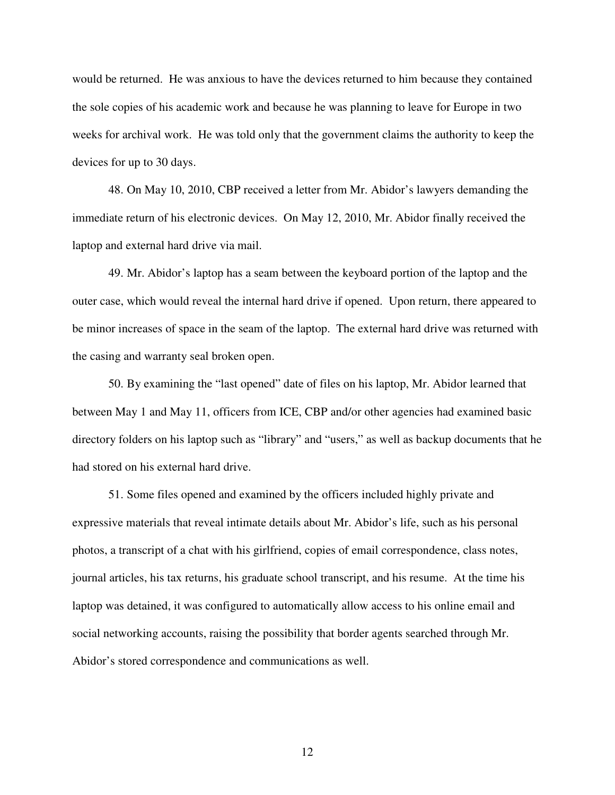would be returned. He was anxious to have the devices returned to him because they contained the sole copies of his academic work and because he was planning to leave for Europe in two weeks for archival work. He was told only that the government claims the authority to keep the devices for up to 30 days.

48. On May 10, 2010, CBP received a letter from Mr. Abidor's lawyers demanding the immediate return of his electronic devices. On May 12, 2010, Mr. Abidor finally received the laptop and external hard drive via mail.

49. Mr. Abidor's laptop has a seam between the keyboard portion of the laptop and the outer case, which would reveal the internal hard drive if opened. Upon return, there appeared to be minor increases of space in the seam of the laptop. The external hard drive was returned with the casing and warranty seal broken open.

50. By examining the "last opened" date of files on his laptop, Mr. Abidor learned that between May 1 and May 11, officers from ICE, CBP and/or other agencies had examined basic directory folders on his laptop such as "library" and "users," as well as backup documents that he had stored on his external hard drive.

51. Some files opened and examined by the officers included highly private and expressive materials that reveal intimate details about Mr. Abidor's life, such as his personal photos, a transcript of a chat with his girlfriend, copies of email correspondence, class notes, journal articles, his tax returns, his graduate school transcript, and his resume. At the time his laptop was detained, it was configured to automatically allow access to his online email and social networking accounts, raising the possibility that border agents searched through Mr. Abidor's stored correspondence and communications as well.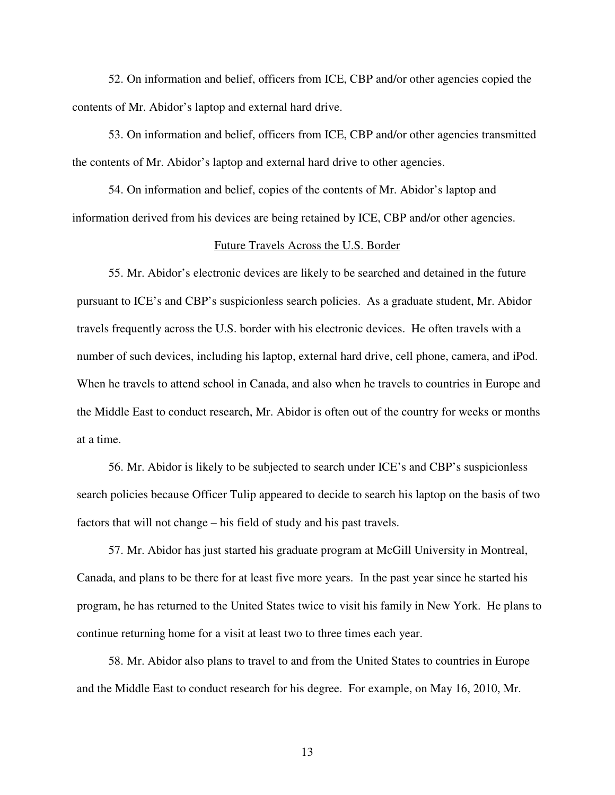52. On information and belief, officers from ICE, CBP and/or other agencies copied the contents of Mr. Abidor's laptop and external hard drive.

53. On information and belief, officers from ICE, CBP and/or other agencies transmitted the contents of Mr. Abidor's laptop and external hard drive to other agencies.

54. On information and belief, copies of the contents of Mr. Abidor's laptop and information derived from his devices are being retained by ICE, CBP and/or other agencies.

## Future Travels Across the U.S. Border

55. Mr. Abidor's electronic devices are likely to be searched and detained in the future pursuant to ICE's and CBP's suspicionless search policies. As a graduate student, Mr. Abidor travels frequently across the U.S. border with his electronic devices. He often travels with a number of such devices, including his laptop, external hard drive, cell phone, camera, and iPod. When he travels to attend school in Canada, and also when he travels to countries in Europe and the Middle East to conduct research, Mr. Abidor is often out of the country for weeks or months at a time.

56. Mr. Abidor is likely to be subjected to search under ICE's and CBP's suspicionless search policies because Officer Tulip appeared to decide to search his laptop on the basis of two factors that will not change – his field of study and his past travels.

57. Mr. Abidor has just started his graduate program at McGill University in Montreal, Canada, and plans to be there for at least five more years. In the past year since he started his program, he has returned to the United States twice to visit his family in New York. He plans to continue returning home for a visit at least two to three times each year.

58. Mr. Abidor also plans to travel to and from the United States to countries in Europe and the Middle East to conduct research for his degree. For example, on May 16, 2010, Mr.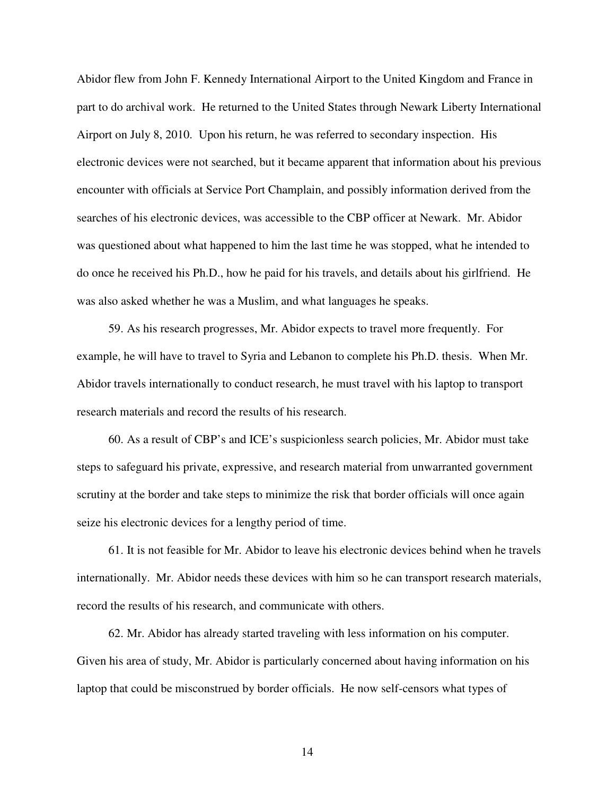Abidor flew from John F. Kennedy International Airport to the United Kingdom and France in part to do archival work. He returned to the United States through Newark Liberty International Airport on July 8, 2010. Upon his return, he was referred to secondary inspection. His electronic devices were not searched, but it became apparent that information about his previous encounter with officials at Service Port Champlain, and possibly information derived from the searches of his electronic devices, was accessible to the CBP officer at Newark. Mr. Abidor was questioned about what happened to him the last time he was stopped, what he intended to do once he received his Ph.D., how he paid for his travels, and details about his girlfriend. He was also asked whether he was a Muslim, and what languages he speaks.

59. As his research progresses, Mr. Abidor expects to travel more frequently. For example, he will have to travel to Syria and Lebanon to complete his Ph.D. thesis. When Mr. Abidor travels internationally to conduct research, he must travel with his laptop to transport research materials and record the results of his research.

60. As a result of CBP's and ICE's suspicionless search policies, Mr. Abidor must take steps to safeguard his private, expressive, and research material from unwarranted government scrutiny at the border and take steps to minimize the risk that border officials will once again seize his electronic devices for a lengthy period of time.

61. It is not feasible for Mr. Abidor to leave his electronic devices behind when he travels internationally. Mr. Abidor needs these devices with him so he can transport research materials, record the results of his research, and communicate with others.

62. Mr. Abidor has already started traveling with less information on his computer. Given his area of study, Mr. Abidor is particularly concerned about having information on his laptop that could be misconstrued by border officials. He now self-censors what types of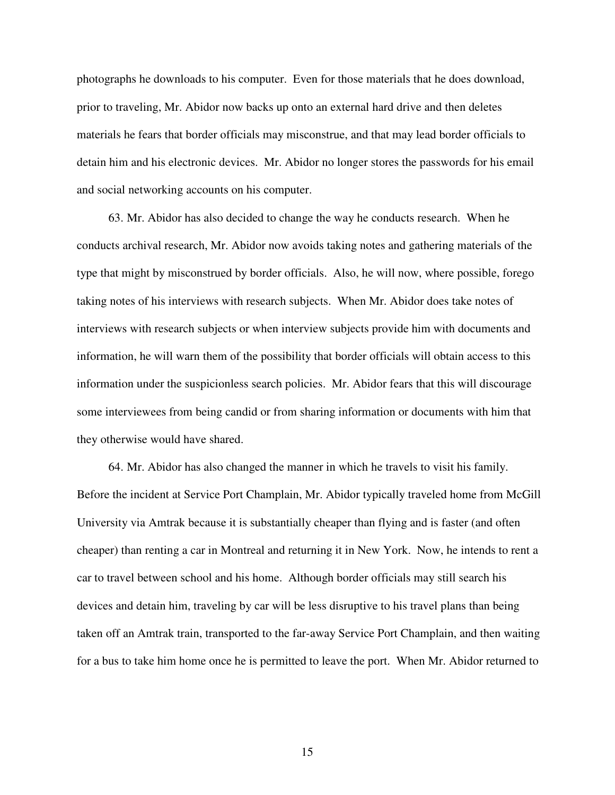photographs he downloads to his computer. Even for those materials that he does download, prior to traveling, Mr. Abidor now backs up onto an external hard drive and then deletes materials he fears that border officials may misconstrue, and that may lead border officials to detain him and his electronic devices. Mr. Abidor no longer stores the passwords for his email and social networking accounts on his computer.

63. Mr. Abidor has also decided to change the way he conducts research. When he conducts archival research, Mr. Abidor now avoids taking notes and gathering materials of the type that might by misconstrued by border officials. Also, he will now, where possible, forego taking notes of his interviews with research subjects. When Mr. Abidor does take notes of interviews with research subjects or when interview subjects provide him with documents and information, he will warn them of the possibility that border officials will obtain access to this information under the suspicionless search policies. Mr. Abidor fears that this will discourage some interviewees from being candid or from sharing information or documents with him that they otherwise would have shared.

64. Mr. Abidor has also changed the manner in which he travels to visit his family. Before the incident at Service Port Champlain, Mr. Abidor typically traveled home from McGill University via Amtrak because it is substantially cheaper than flying and is faster (and often cheaper) than renting a car in Montreal and returning it in New York. Now, he intends to rent a car to travel between school and his home. Although border officials may still search his devices and detain him, traveling by car will be less disruptive to his travel plans than being taken off an Amtrak train, transported to the far-away Service Port Champlain, and then waiting for a bus to take him home once he is permitted to leave the port. When Mr. Abidor returned to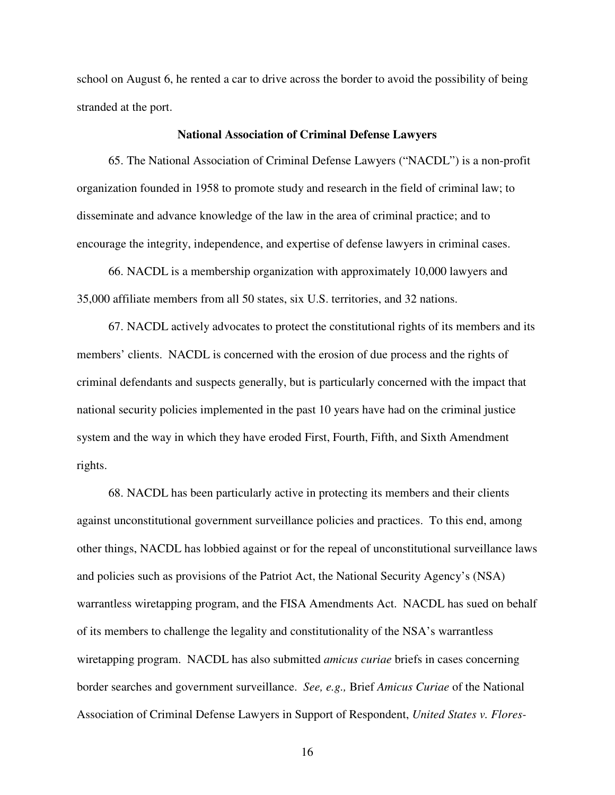school on August 6, he rented a car to drive across the border to avoid the possibility of being stranded at the port.

## **National Association of Criminal Defense Lawyers**

65. The National Association of Criminal Defense Lawyers ("NACDL") is a non-profit organization founded in 1958 to promote study and research in the field of criminal law; to disseminate and advance knowledge of the law in the area of criminal practice; and to encourage the integrity, independence, and expertise of defense lawyers in criminal cases.

66. NACDL is a membership organization with approximately 10,000 lawyers and 35,000 affiliate members from all 50 states, six U.S. territories, and 32 nations.

67. NACDL actively advocates to protect the constitutional rights of its members and its members' clients. NACDL is concerned with the erosion of due process and the rights of criminal defendants and suspects generally, but is particularly concerned with the impact that national security policies implemented in the past 10 years have had on the criminal justice system and the way in which they have eroded First, Fourth, Fifth, and Sixth Amendment rights.

68. NACDL has been particularly active in protecting its members and their clients against unconstitutional government surveillance policies and practices. To this end, among other things, NACDL has lobbied against or for the repeal of unconstitutional surveillance laws and policies such as provisions of the Patriot Act, the National Security Agency's (NSA) warrantless wiretapping program, and the FISA Amendments Act. NACDL has sued on behalf of its members to challenge the legality and constitutionality of the NSA's warrantless wiretapping program. NACDL has also submitted *amicus curiae* briefs in cases concerning border searches and government surveillance. *See, e.g.,* Brief *Amicus Curiae* of the National Association of Criminal Defense Lawyers in Support of Respondent, *United States v. Flores-*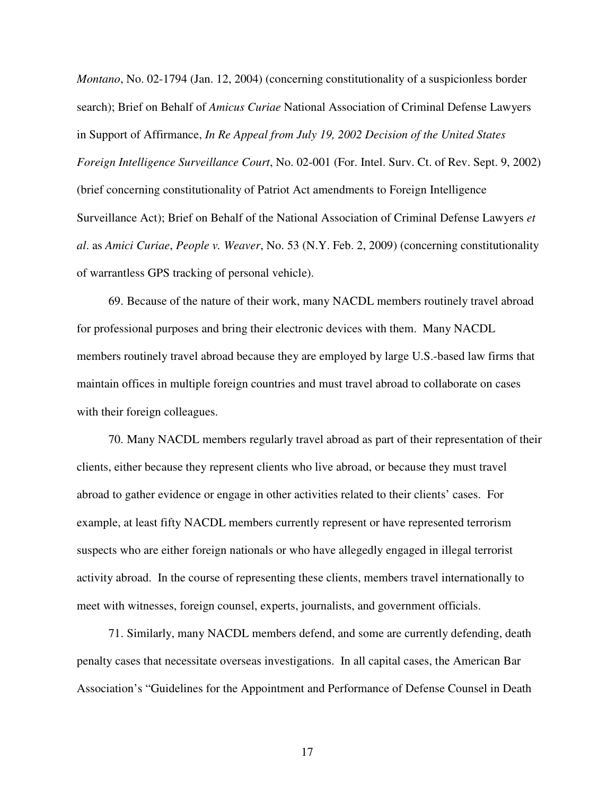*Montano*, No. 02-1794 (Jan. 12, 2004) (concerning constitutionality of a suspicionless border search); Brief on Behalf of *Amicus Curiae* National Association of Criminal Defense Lawyers in Support of Affirmance, *In Re Appeal from July 19, 2002 Decision of the United States Foreign Intelligence Surveillance Court*, No. 02-001 (For. Intel. Surv. Ct. of Rev. Sept. 9, 2002) (brief concerning constitutionality of Patriot Act amendments to Foreign Intelligence Surveillance Act); Brief on Behalf of the National Association of Criminal Defense Lawyers *et al*. as *Amici Curiae*, *People v. Weaver*, No. 53 (N.Y. Feb. 2, 2009) (concerning constitutionality of warrantless GPS tracking of personal vehicle).

69. Because of the nature of their work, many NACDL members routinely travel abroad for professional purposes and bring their electronic devices with them. Many NACDL members routinely travel abroad because they are employed by large U.S.-based law firms that maintain offices in multiple foreign countries and must travel abroad to collaborate on cases with their foreign colleagues.

70. Many NACDL members regularly travel abroad as part of their representation of their clients, either because they represent clients who live abroad, or because they must travel abroad to gather evidence or engage in other activities related to their clients' cases. For example, at least fifty NACDL members currently represent or have represented terrorism suspects who are either foreign nationals or who have allegedly engaged in illegal terrorist activity abroad. In the course of representing these clients, members travel internationally to meet with witnesses, foreign counsel, experts, journalists, and government officials.

71. Similarly, many NACDL members defend, and some are currently defending, death penalty cases that necessitate overseas investigations. In all capital cases, the American Bar Association's "Guidelines for the Appointment and Performance of Defense Counsel in Death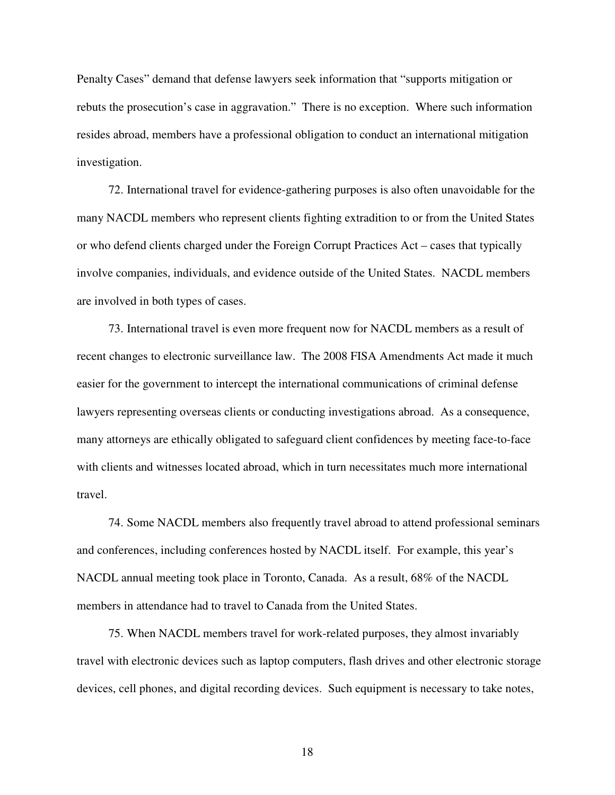Penalty Cases" demand that defense lawyers seek information that "supports mitigation or rebuts the prosecution's case in aggravation." There is no exception. Where such information resides abroad, members have a professional obligation to conduct an international mitigation investigation.

72. International travel for evidence-gathering purposes is also often unavoidable for the many NACDL members who represent clients fighting extradition to or from the United States or who defend clients charged under the Foreign Corrupt Practices Act – cases that typically involve companies, individuals, and evidence outside of the United States. NACDL members are involved in both types of cases.

73. International travel is even more frequent now for NACDL members as a result of recent changes to electronic surveillance law. The 2008 FISA Amendments Act made it much easier for the government to intercept the international communications of criminal defense lawyers representing overseas clients or conducting investigations abroad. As a consequence, many attorneys are ethically obligated to safeguard client confidences by meeting face-to-face with clients and witnesses located abroad, which in turn necessitates much more international travel.

74. Some NACDL members also frequently travel abroad to attend professional seminars and conferences, including conferences hosted by NACDL itself. For example, this year's NACDL annual meeting took place in Toronto, Canada. As a result, 68% of the NACDL members in attendance had to travel to Canada from the United States.

75. When NACDL members travel for work-related purposes, they almost invariably travel with electronic devices such as laptop computers, flash drives and other electronic storage devices, cell phones, and digital recording devices. Such equipment is necessary to take notes,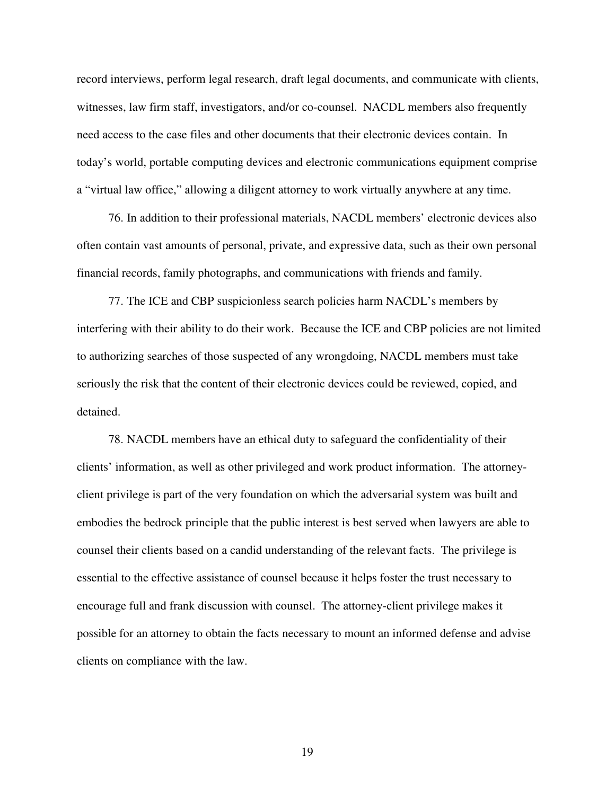record interviews, perform legal research, draft legal documents, and communicate with clients, witnesses, law firm staff, investigators, and/or co-counsel. NACDL members also frequently need access to the case files and other documents that their electronic devices contain. In today's world, portable computing devices and electronic communications equipment comprise a "virtual law office," allowing a diligent attorney to work virtually anywhere at any time.

76. In addition to their professional materials, NACDL members' electronic devices also often contain vast amounts of personal, private, and expressive data, such as their own personal financial records, family photographs, and communications with friends and family.

77. The ICE and CBP suspicionless search policies harm NACDL's members by interfering with their ability to do their work. Because the ICE and CBP policies are not limited to authorizing searches of those suspected of any wrongdoing, NACDL members must take seriously the risk that the content of their electronic devices could be reviewed, copied, and detained.

78. NACDL members have an ethical duty to safeguard the confidentiality of their clients' information, as well as other privileged and work product information. The attorneyclient privilege is part of the very foundation on which the adversarial system was built and embodies the bedrock principle that the public interest is best served when lawyers are able to counsel their clients based on a candid understanding of the relevant facts. The privilege is essential to the effective assistance of counsel because it helps foster the trust necessary to encourage full and frank discussion with counsel. The attorney-client privilege makes it possible for an attorney to obtain the facts necessary to mount an informed defense and advise clients on compliance with the law.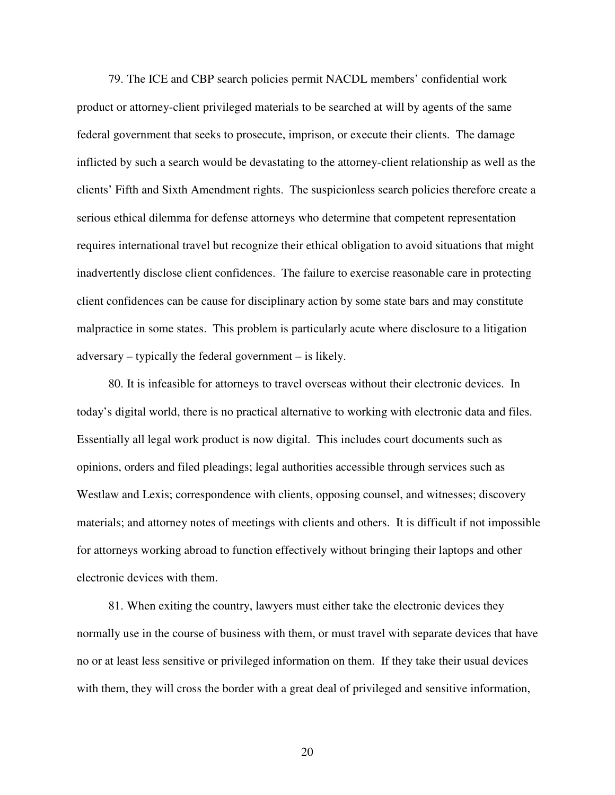79. The ICE and CBP search policies permit NACDL members' confidential work product or attorney-client privileged materials to be searched at will by agents of the same federal government that seeks to prosecute, imprison, or execute their clients. The damage inflicted by such a search would be devastating to the attorney-client relationship as well as the clients' Fifth and Sixth Amendment rights. The suspicionless search policies therefore create a serious ethical dilemma for defense attorneys who determine that competent representation requires international travel but recognize their ethical obligation to avoid situations that might inadvertently disclose client confidences. The failure to exercise reasonable care in protecting client confidences can be cause for disciplinary action by some state bars and may constitute malpractice in some states. This problem is particularly acute where disclosure to a litigation adversary – typically the federal government – is likely.

80. It is infeasible for attorneys to travel overseas without their electronic devices. In today's digital world, there is no practical alternative to working with electronic data and files. Essentially all legal work product is now digital. This includes court documents such as opinions, orders and filed pleadings; legal authorities accessible through services such as Westlaw and Lexis; correspondence with clients, opposing counsel, and witnesses; discovery materials; and attorney notes of meetings with clients and others. It is difficult if not impossible for attorneys working abroad to function effectively without bringing their laptops and other electronic devices with them.

81. When exiting the country, lawyers must either take the electronic devices they normally use in the course of business with them, or must travel with separate devices that have no or at least less sensitive or privileged information on them. If they take their usual devices with them, they will cross the border with a great deal of privileged and sensitive information,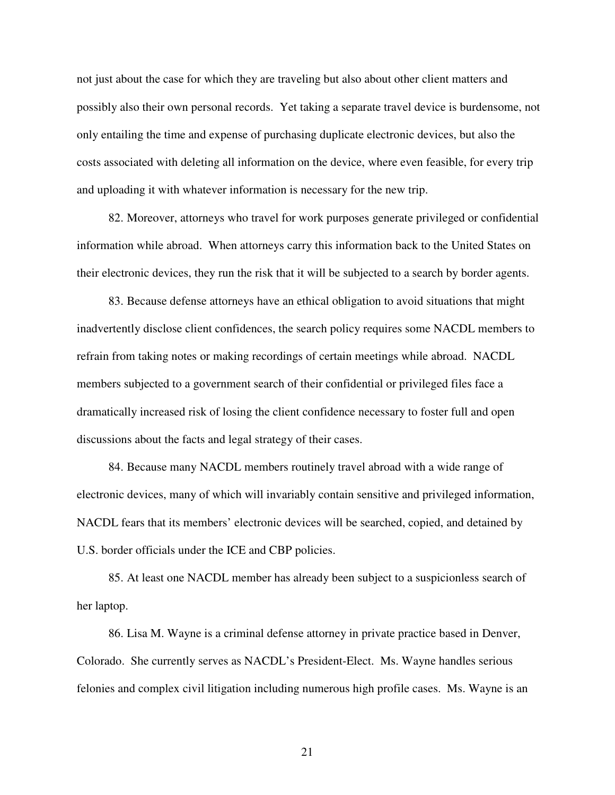not just about the case for which they are traveling but also about other client matters and possibly also their own personal records. Yet taking a separate travel device is burdensome, not only entailing the time and expense of purchasing duplicate electronic devices, but also the costs associated with deleting all information on the device, where even feasible, for every trip and uploading it with whatever information is necessary for the new trip.

82. Moreover, attorneys who travel for work purposes generate privileged or confidential information while abroad. When attorneys carry this information back to the United States on their electronic devices, they run the risk that it will be subjected to a search by border agents.

83. Because defense attorneys have an ethical obligation to avoid situations that might inadvertently disclose client confidences, the search policy requires some NACDL members to refrain from taking notes or making recordings of certain meetings while abroad. NACDL members subjected to a government search of their confidential or privileged files face a dramatically increased risk of losing the client confidence necessary to foster full and open discussions about the facts and legal strategy of their cases.

84. Because many NACDL members routinely travel abroad with a wide range of electronic devices, many of which will invariably contain sensitive and privileged information, NACDL fears that its members' electronic devices will be searched, copied, and detained by U.S. border officials under the ICE and CBP policies.

85. At least one NACDL member has already been subject to a suspicionless search of her laptop.

86. Lisa M. Wayne is a criminal defense attorney in private practice based in Denver, Colorado. She currently serves as NACDL's President-Elect. Ms. Wayne handles serious felonies and complex civil litigation including numerous high profile cases. Ms. Wayne is an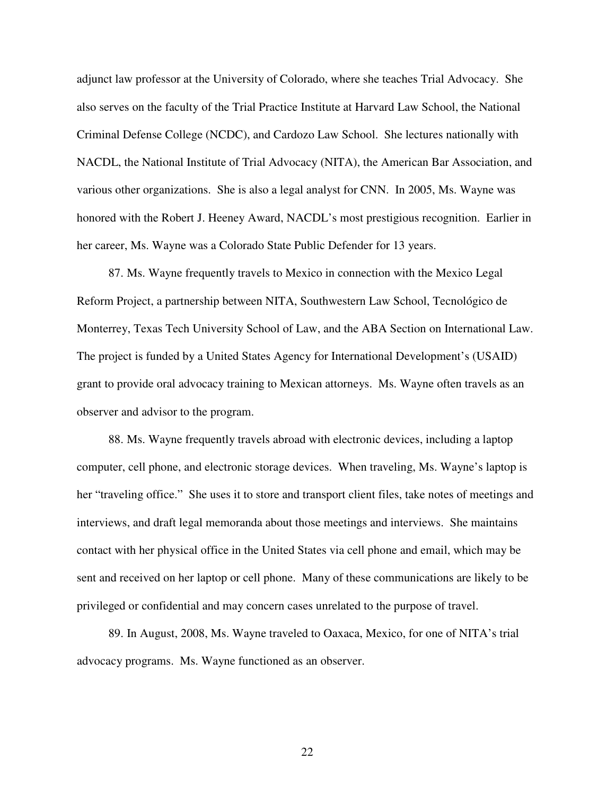adjunct law professor at the University of Colorado, where she teaches Trial Advocacy. She also serves on the faculty of the Trial Practice Institute at Harvard Law School, the National Criminal Defense College (NCDC), and Cardozo Law School. She lectures nationally with NACDL, the National Institute of Trial Advocacy (NITA), the American Bar Association, and various other organizations. She is also a legal analyst for CNN. In 2005, Ms. Wayne was honored with the Robert J. Heeney Award, NACDL's most prestigious recognition. Earlier in her career, Ms. Wayne was a Colorado State Public Defender for 13 years.

87. Ms. Wayne frequently travels to Mexico in connection with the Mexico Legal Reform Project, a partnership between NITA, Southwestern Law School, Tecnológico de Monterrey, Texas Tech University School of Law, and the ABA Section on International Law. The project is funded by a United States Agency for International Development's (USAID) grant to provide oral advocacy training to Mexican attorneys. Ms. Wayne often travels as an observer and advisor to the program.

88. Ms. Wayne frequently travels abroad with electronic devices, including a laptop computer, cell phone, and electronic storage devices. When traveling, Ms. Wayne's laptop is her "traveling office." She uses it to store and transport client files, take notes of meetings and interviews, and draft legal memoranda about those meetings and interviews. She maintains contact with her physical office in the United States via cell phone and email, which may be sent and received on her laptop or cell phone. Many of these communications are likely to be privileged or confidential and may concern cases unrelated to the purpose of travel.

89. In August, 2008, Ms. Wayne traveled to Oaxaca, Mexico, for one of NITA's trial advocacy programs. Ms. Wayne functioned as an observer.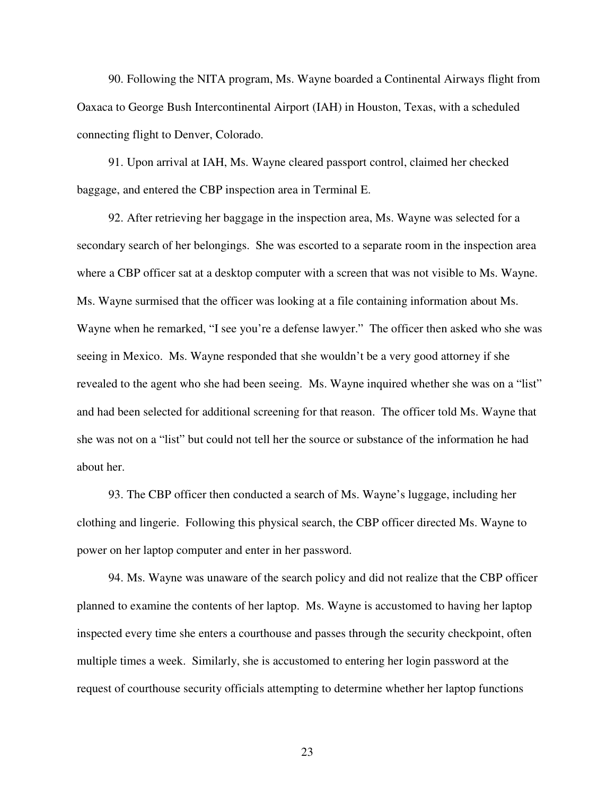90. Following the NITA program, Ms. Wayne boarded a Continental Airways flight from Oaxaca to George Bush Intercontinental Airport (IAH) in Houston, Texas, with a scheduled connecting flight to Denver, Colorado.

91. Upon arrival at IAH, Ms. Wayne cleared passport control, claimed her checked baggage, and entered the CBP inspection area in Terminal E.

92. After retrieving her baggage in the inspection area, Ms. Wayne was selected for a secondary search of her belongings. She was escorted to a separate room in the inspection area where a CBP officer sat at a desktop computer with a screen that was not visible to Ms. Wayne. Ms. Wayne surmised that the officer was looking at a file containing information about Ms. Wayne when he remarked, "I see you're a defense lawyer." The officer then asked who she was seeing in Mexico. Ms. Wayne responded that she wouldn't be a very good attorney if she revealed to the agent who she had been seeing. Ms. Wayne inquired whether she was on a "list" and had been selected for additional screening for that reason. The officer told Ms. Wayne that she was not on a "list" but could not tell her the source or substance of the information he had about her.

93. The CBP officer then conducted a search of Ms. Wayne's luggage, including her clothing and lingerie. Following this physical search, the CBP officer directed Ms. Wayne to power on her laptop computer and enter in her password.

94. Ms. Wayne was unaware of the search policy and did not realize that the CBP officer planned to examine the contents of her laptop. Ms. Wayne is accustomed to having her laptop inspected every time she enters a courthouse and passes through the security checkpoint, often multiple times a week. Similarly, she is accustomed to entering her login password at the request of courthouse security officials attempting to determine whether her laptop functions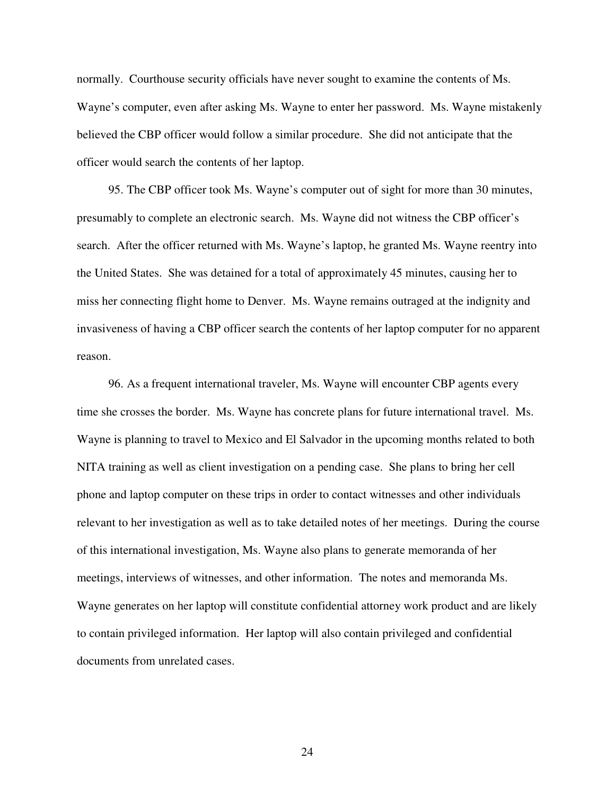normally. Courthouse security officials have never sought to examine the contents of Ms. Wayne's computer, even after asking Ms. Wayne to enter her password. Ms. Wayne mistakenly believed the CBP officer would follow a similar procedure. She did not anticipate that the officer would search the contents of her laptop.

95. The CBP officer took Ms. Wayne's computer out of sight for more than 30 minutes, presumably to complete an electronic search. Ms. Wayne did not witness the CBP officer's search. After the officer returned with Ms. Wayne's laptop, he granted Ms. Wayne reentry into the United States. She was detained for a total of approximately 45 minutes, causing her to miss her connecting flight home to Denver. Ms. Wayne remains outraged at the indignity and invasiveness of having a CBP officer search the contents of her laptop computer for no apparent reason.

96. As a frequent international traveler, Ms. Wayne will encounter CBP agents every time she crosses the border. Ms. Wayne has concrete plans for future international travel. Ms. Wayne is planning to travel to Mexico and El Salvador in the upcoming months related to both NITA training as well as client investigation on a pending case. She plans to bring her cell phone and laptop computer on these trips in order to contact witnesses and other individuals relevant to her investigation as well as to take detailed notes of her meetings. During the course of this international investigation, Ms. Wayne also plans to generate memoranda of her meetings, interviews of witnesses, and other information. The notes and memoranda Ms. Wayne generates on her laptop will constitute confidential attorney work product and are likely to contain privileged information. Her laptop will also contain privileged and confidential documents from unrelated cases.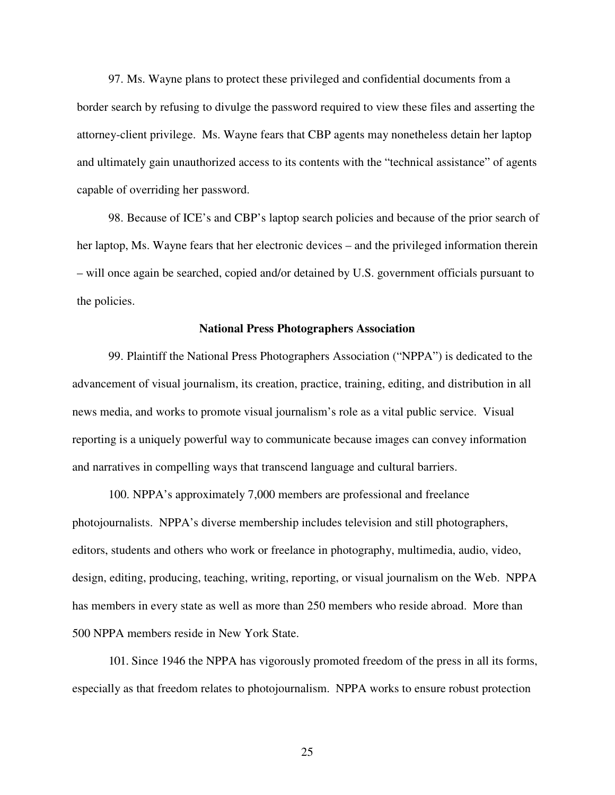97. Ms. Wayne plans to protect these privileged and confidential documents from a border search by refusing to divulge the password required to view these files and asserting the attorney-client privilege. Ms. Wayne fears that CBP agents may nonetheless detain her laptop and ultimately gain unauthorized access to its contents with the "technical assistance" of agents capable of overriding her password.

98. Because of ICE's and CBP's laptop search policies and because of the prior search of her laptop, Ms. Wayne fears that her electronic devices – and the privileged information therein – will once again be searched, copied and/or detained by U.S. government officials pursuant to the policies.

## **National Press Photographers Association**

99. Plaintiff the National Press Photographers Association ("NPPA") is dedicated to the advancement of visual journalism, its creation, practice, training, editing, and distribution in all news media, and works to promote visual journalism's role as a vital public service. Visual reporting is a uniquely powerful way to communicate because images can convey information and narratives in compelling ways that transcend language and cultural barriers.

100. NPPA's approximately 7,000 members are professional and freelance photojournalists. NPPA's diverse membership includes television and still photographers, editors, students and others who work or freelance in photography, multimedia, audio, video, design, editing, producing, teaching, writing, reporting, or visual journalism on the Web. NPPA has members in every state as well as more than 250 members who reside abroad. More than 500 NPPA members reside in New York State.

101. Since 1946 the NPPA has vigorously promoted freedom of the press in all its forms, especially as that freedom relates to photojournalism. NPPA works to ensure robust protection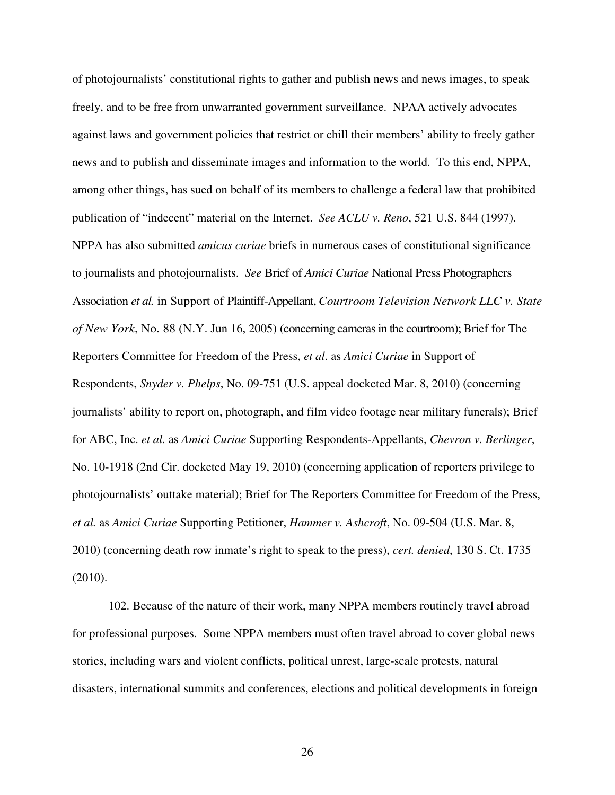of photojournalists' constitutional rights to gather and publish news and news images, to speak freely, and to be free from unwarranted government surveillance. NPAA actively advocates against laws and government policies that restrict or chill their members' ability to freely gather news and to publish and disseminate images and information to the world. To this end, NPPA, among other things, has sued on behalf of its members to challenge a federal law that prohibited publication of "indecent" material on the Internet. *See ACLU v. Reno*, 521 U.S. 844 (1997). NPPA has also submitted *amicus curiae* briefs in numerous cases of constitutional significance to journalists and photojournalists. *See* Brief of *Amici Curiae* National Press Photographers Association *et al.* in Support of Plaintiff-Appellant, *Courtroom Television Network LLC v. State of New York*, No. 88 (N.Y. Jun 16, 2005) (concerning cameras in the courtroom); Brief for The Reporters Committee for Freedom of the Press, *et al*. as *Amici Curiae* in Support of Respondents, *Snyder v. Phelps*, No. 09-751 (U.S. appeal docketed Mar. 8, 2010) (concerning journalists' ability to report on, photograph, and film video footage near military funerals); Brief for ABC, Inc. *et al.* as *Amici Curiae* Supporting Respondents-Appellants, *Chevron v. Berlinger*, No. 10-1918 (2nd Cir. docketed May 19, 2010) (concerning application of reporters privilege to photojournalists' outtake material); Brief for The Reporters Committee for Freedom of the Press, *et al.* as *Amici Curiae* Supporting Petitioner, *Hammer v. Ashcroft*, No. 09-504 (U.S. Mar. 8, 2010) (concerning death row inmate's right to speak to the press), *cert. denied*, 130 S. Ct. 1735 (2010).

102. Because of the nature of their work, many NPPA members routinely travel abroad for professional purposes. Some NPPA members must often travel abroad to cover global news stories, including wars and violent conflicts, political unrest, large-scale protests, natural disasters, international summits and conferences, elections and political developments in foreign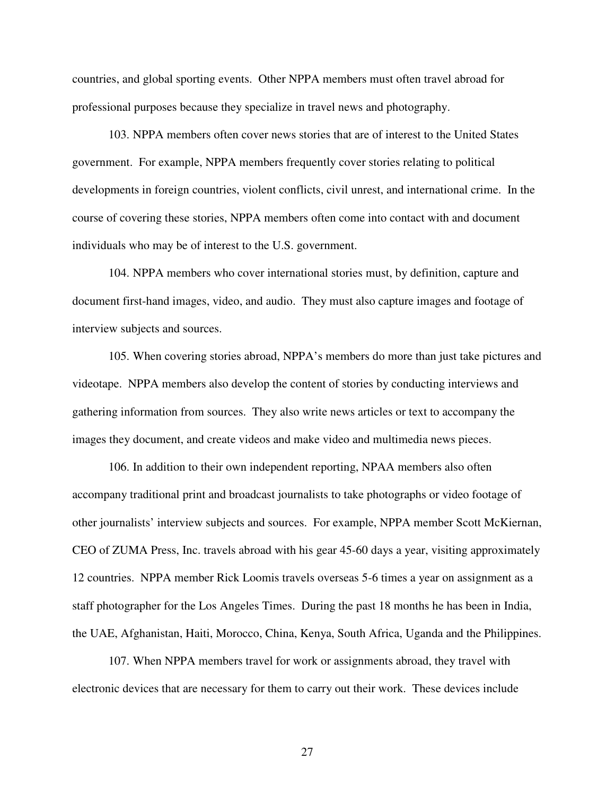countries, and global sporting events. Other NPPA members must often travel abroad for professional purposes because they specialize in travel news and photography.

103. NPPA members often cover news stories that are of interest to the United States government. For example, NPPA members frequently cover stories relating to political developments in foreign countries, violent conflicts, civil unrest, and international crime. In the course of covering these stories, NPPA members often come into contact with and document individuals who may be of interest to the U.S. government.

104. NPPA members who cover international stories must, by definition, capture and document first-hand images, video, and audio. They must also capture images and footage of interview subjects and sources.

105. When covering stories abroad, NPPA's members do more than just take pictures and videotape. NPPA members also develop the content of stories by conducting interviews and gathering information from sources. They also write news articles or text to accompany the images they document, and create videos and make video and multimedia news pieces.

106. In addition to their own independent reporting, NPAA members also often accompany traditional print and broadcast journalists to take photographs or video footage of other journalists' interview subjects and sources. For example, NPPA member Scott McKiernan, CEO of ZUMA Press, Inc. travels abroad with his gear 45-60 days a year, visiting approximately 12 countries. NPPA member Rick Loomis travels overseas 5-6 times a year on assignment as a staff photographer for the Los Angeles Times. During the past 18 months he has been in India, the UAE, Afghanistan, Haiti, Morocco, China, Kenya, South Africa, Uganda and the Philippines.

107. When NPPA members travel for work or assignments abroad, they travel with electronic devices that are necessary for them to carry out their work. These devices include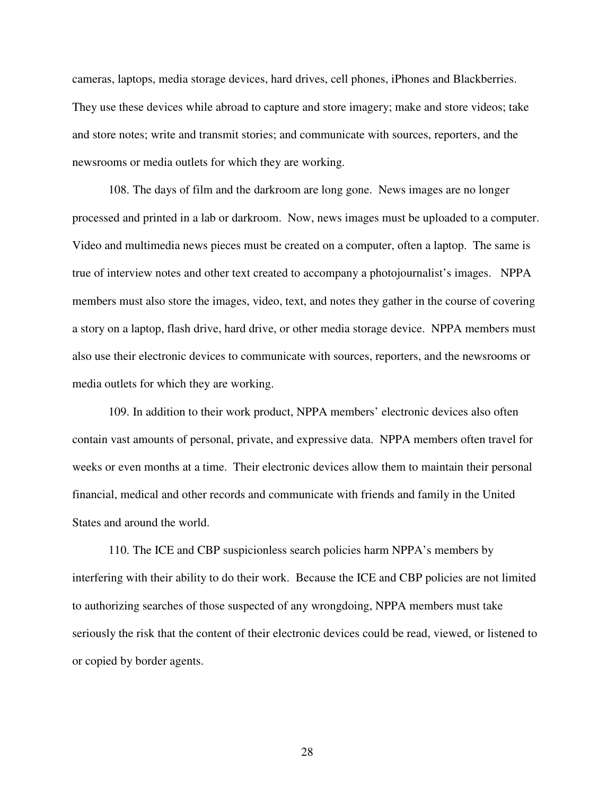cameras, laptops, media storage devices, hard drives, cell phones, iPhones and Blackberries. They use these devices while abroad to capture and store imagery; make and store videos; take and store notes; write and transmit stories; and communicate with sources, reporters, and the newsrooms or media outlets for which they are working.

108. The days of film and the darkroom are long gone. News images are no longer processed and printed in a lab or darkroom. Now, news images must be uploaded to a computer. Video and multimedia news pieces must be created on a computer, often a laptop. The same is true of interview notes and other text created to accompany a photojournalist's images. NPPA members must also store the images, video, text, and notes they gather in the course of covering a story on a laptop, flash drive, hard drive, or other media storage device. NPPA members must also use their electronic devices to communicate with sources, reporters, and the newsrooms or media outlets for which they are working.

109. In addition to their work product, NPPA members' electronic devices also often contain vast amounts of personal, private, and expressive data. NPPA members often travel for weeks or even months at a time. Their electronic devices allow them to maintain their personal financial, medical and other records and communicate with friends and family in the United States and around the world.

110. The ICE and CBP suspicionless search policies harm NPPA's members by interfering with their ability to do their work. Because the ICE and CBP policies are not limited to authorizing searches of those suspected of any wrongdoing, NPPA members must take seriously the risk that the content of their electronic devices could be read, viewed, or listened to or copied by border agents.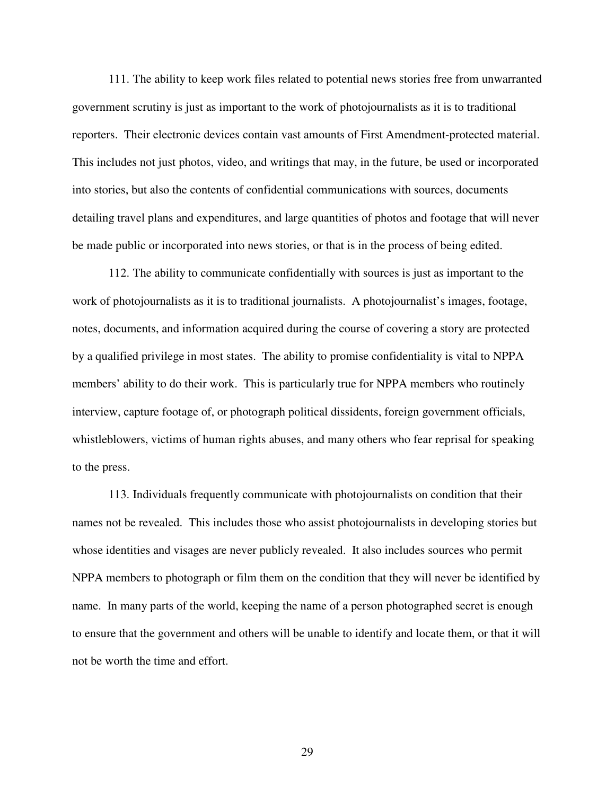111. The ability to keep work files related to potential news stories free from unwarranted government scrutiny is just as important to the work of photojournalists as it is to traditional reporters. Their electronic devices contain vast amounts of First Amendment-protected material. This includes not just photos, video, and writings that may, in the future, be used or incorporated into stories, but also the contents of confidential communications with sources, documents detailing travel plans and expenditures, and large quantities of photos and footage that will never be made public or incorporated into news stories, or that is in the process of being edited.

112. The ability to communicate confidentially with sources is just as important to the work of photojournalists as it is to traditional journalists. A photojournalist's images, footage, notes, documents, and information acquired during the course of covering a story are protected by a qualified privilege in most states. The ability to promise confidentiality is vital to NPPA members' ability to do their work. This is particularly true for NPPA members who routinely interview, capture footage of, or photograph political dissidents, foreign government officials, whistleblowers, victims of human rights abuses, and many others who fear reprisal for speaking to the press.

113. Individuals frequently communicate with photojournalists on condition that their names not be revealed. This includes those who assist photojournalists in developing stories but whose identities and visages are never publicly revealed. It also includes sources who permit NPPA members to photograph or film them on the condition that they will never be identified by name. In many parts of the world, keeping the name of a person photographed secret is enough to ensure that the government and others will be unable to identify and locate them, or that it will not be worth the time and effort.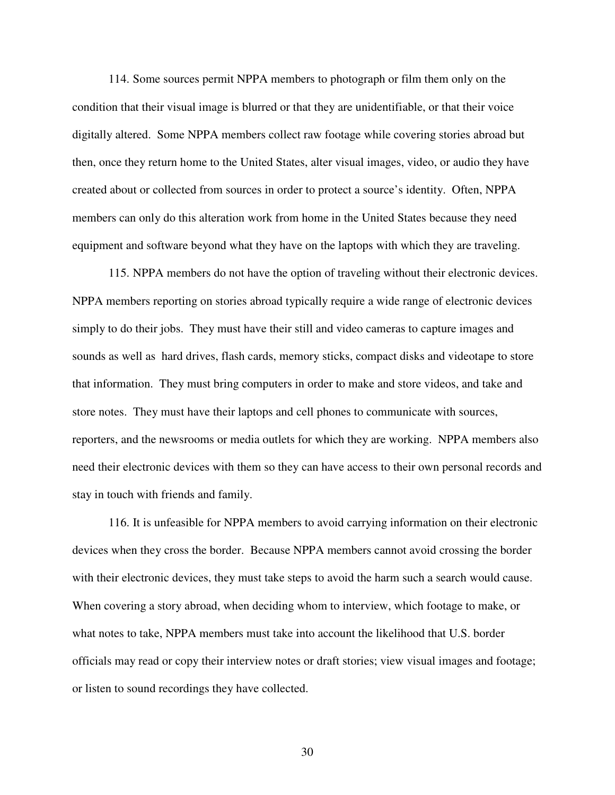114. Some sources permit NPPA members to photograph or film them only on the condition that their visual image is blurred or that they are unidentifiable, or that their voice digitally altered. Some NPPA members collect raw footage while covering stories abroad but then, once they return home to the United States, alter visual images, video, or audio they have created about or collected from sources in order to protect a source's identity. Often, NPPA members can only do this alteration work from home in the United States because they need equipment and software beyond what they have on the laptops with which they are traveling.

115. NPPA members do not have the option of traveling without their electronic devices. NPPA members reporting on stories abroad typically require a wide range of electronic devices simply to do their jobs. They must have their still and video cameras to capture images and sounds as well as hard drives, flash cards, memory sticks, compact disks and videotape to store that information. They must bring computers in order to make and store videos, and take and store notes. They must have their laptops and cell phones to communicate with sources, reporters, and the newsrooms or media outlets for which they are working. NPPA members also need their electronic devices with them so they can have access to their own personal records and stay in touch with friends and family.

116. It is unfeasible for NPPA members to avoid carrying information on their electronic devices when they cross the border. Because NPPA members cannot avoid crossing the border with their electronic devices, they must take steps to avoid the harm such a search would cause. When covering a story abroad, when deciding whom to interview, which footage to make, or what notes to take, NPPA members must take into account the likelihood that U.S. border officials may read or copy their interview notes or draft stories; view visual images and footage; or listen to sound recordings they have collected.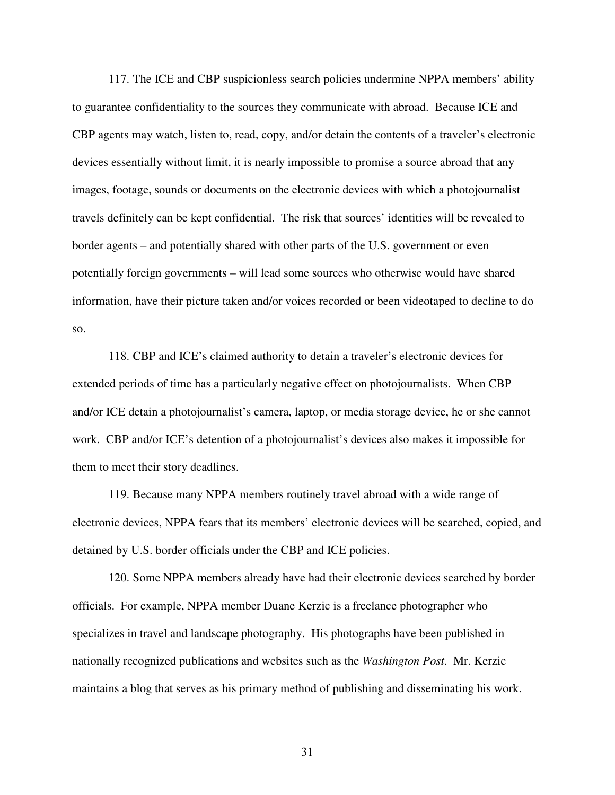117. The ICE and CBP suspicionless search policies undermine NPPA members' ability to guarantee confidentiality to the sources they communicate with abroad. Because ICE and CBP agents may watch, listen to, read, copy, and/or detain the contents of a traveler's electronic devices essentially without limit, it is nearly impossible to promise a source abroad that any images, footage, sounds or documents on the electronic devices with which a photojournalist travels definitely can be kept confidential. The risk that sources' identities will be revealed to border agents – and potentially shared with other parts of the U.S. government or even potentially foreign governments – will lead some sources who otherwise would have shared information, have their picture taken and/or voices recorded or been videotaped to decline to do so.

118. CBP and ICE's claimed authority to detain a traveler's electronic devices for extended periods of time has a particularly negative effect on photojournalists. When CBP and/or ICE detain a photojournalist's camera, laptop, or media storage device, he or she cannot work. CBP and/or ICE's detention of a photojournalist's devices also makes it impossible for them to meet their story deadlines.

119. Because many NPPA members routinely travel abroad with a wide range of electronic devices, NPPA fears that its members' electronic devices will be searched, copied, and detained by U.S. border officials under the CBP and ICE policies.

120. Some NPPA members already have had their electronic devices searched by border officials. For example, NPPA member Duane Kerzic is a freelance photographer who specializes in travel and landscape photography. His photographs have been published in nationally recognized publications and websites such as the *Washington Post*. Mr. Kerzic maintains a blog that serves as his primary method of publishing and disseminating his work.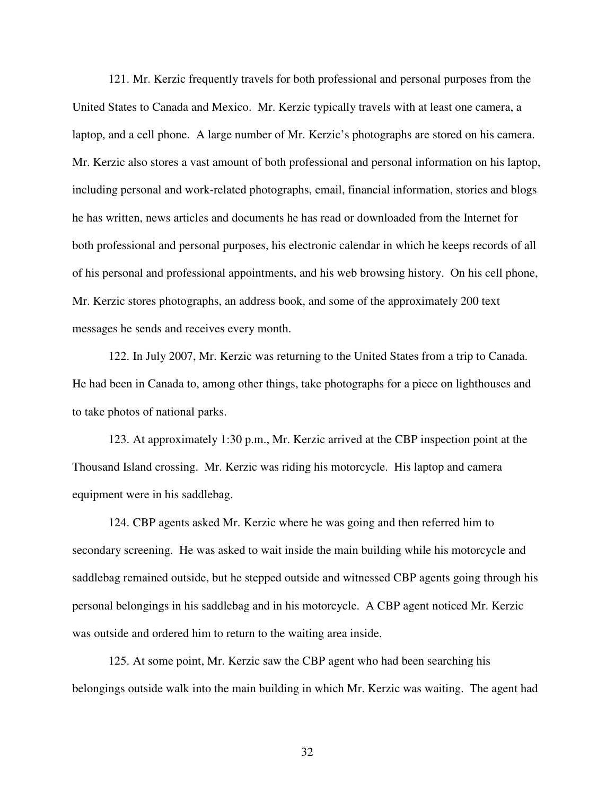121. Mr. Kerzic frequently travels for both professional and personal purposes from the United States to Canada and Mexico. Mr. Kerzic typically travels with at least one camera, a laptop, and a cell phone. A large number of Mr. Kerzic's photographs are stored on his camera. Mr. Kerzic also stores a vast amount of both professional and personal information on his laptop, including personal and work-related photographs, email, financial information, stories and blogs he has written, news articles and documents he has read or downloaded from the Internet for both professional and personal purposes, his electronic calendar in which he keeps records of all of his personal and professional appointments, and his web browsing history. On his cell phone, Mr. Kerzic stores photographs, an address book, and some of the approximately 200 text messages he sends and receives every month.

122. In July 2007, Mr. Kerzic was returning to the United States from a trip to Canada. He had been in Canada to, among other things, take photographs for a piece on lighthouses and to take photos of national parks.

123. At approximately 1:30 p.m., Mr. Kerzic arrived at the CBP inspection point at the Thousand Island crossing. Mr. Kerzic was riding his motorcycle. His laptop and camera equipment were in his saddlebag.

124. CBP agents asked Mr. Kerzic where he was going and then referred him to secondary screening. He was asked to wait inside the main building while his motorcycle and saddlebag remained outside, but he stepped outside and witnessed CBP agents going through his personal belongings in his saddlebag and in his motorcycle. A CBP agent noticed Mr. Kerzic was outside and ordered him to return to the waiting area inside.

125. At some point, Mr. Kerzic saw the CBP agent who had been searching his belongings outside walk into the main building in which Mr. Kerzic was waiting. The agent had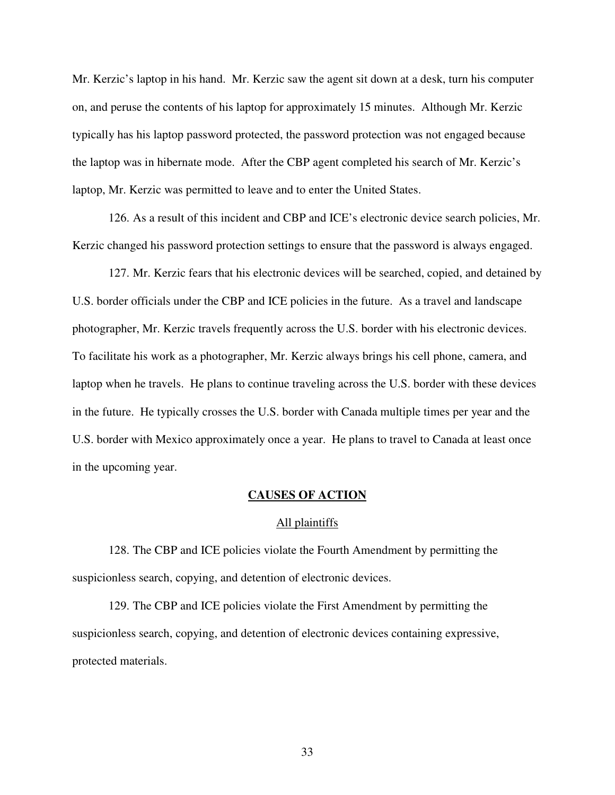Mr. Kerzic's laptop in his hand. Mr. Kerzic saw the agent sit down at a desk, turn his computer on, and peruse the contents of his laptop for approximately 15 minutes. Although Mr. Kerzic typically has his laptop password protected, the password protection was not engaged because the laptop was in hibernate mode. After the CBP agent completed his search of Mr. Kerzic's laptop, Mr. Kerzic was permitted to leave and to enter the United States.

126. As a result of this incident and CBP and ICE's electronic device search policies, Mr. Kerzic changed his password protection settings to ensure that the password is always engaged.

127. Mr. Kerzic fears that his electronic devices will be searched, copied, and detained by U.S. border officials under the CBP and ICE policies in the future. As a travel and landscape photographer, Mr. Kerzic travels frequently across the U.S. border with his electronic devices. To facilitate his work as a photographer, Mr. Kerzic always brings his cell phone, camera, and laptop when he travels. He plans to continue traveling across the U.S. border with these devices in the future. He typically crosses the U.S. border with Canada multiple times per year and the U.S. border with Mexico approximately once a year. He plans to travel to Canada at least once in the upcoming year.

### **CAUSES OF ACTION**

### All plaintiffs

128. The CBP and ICE policies violate the Fourth Amendment by permitting the suspicionless search, copying, and detention of electronic devices.

129. The CBP and ICE policies violate the First Amendment by permitting the suspicionless search, copying, and detention of electronic devices containing expressive, protected materials.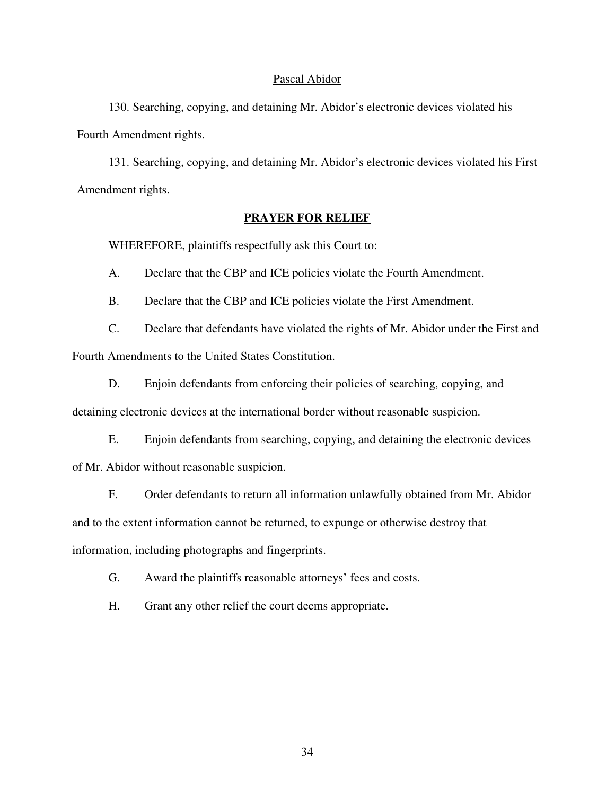### Pascal Abidor

130. Searching, copying, and detaining Mr. Abidor's electronic devices violated his Fourth Amendment rights.

131. Searching, copying, and detaining Mr. Abidor's electronic devices violated his First Amendment rights.

## **PRAYER FOR RELIEF**

WHEREFORE, plaintiffs respectfully ask this Court to:

A. Declare that the CBP and ICE policies violate the Fourth Amendment.

B. Declare that the CBP and ICE policies violate the First Amendment.

C. Declare that defendants have violated the rights of Mr. Abidor under the First and Fourth Amendments to the United States Constitution.

D. Enjoin defendants from enforcing their policies of searching, copying, and

detaining electronic devices at the international border without reasonable suspicion.

E. Enjoin defendants from searching, copying, and detaining the electronic devices of Mr. Abidor without reasonable suspicion.

F. Order defendants to return all information unlawfully obtained from Mr. Abidor and to the extent information cannot be returned, to expunge or otherwise destroy that information, including photographs and fingerprints.

G. Award the plaintiffs reasonable attorneys' fees and costs.

H. Grant any other relief the court deems appropriate.